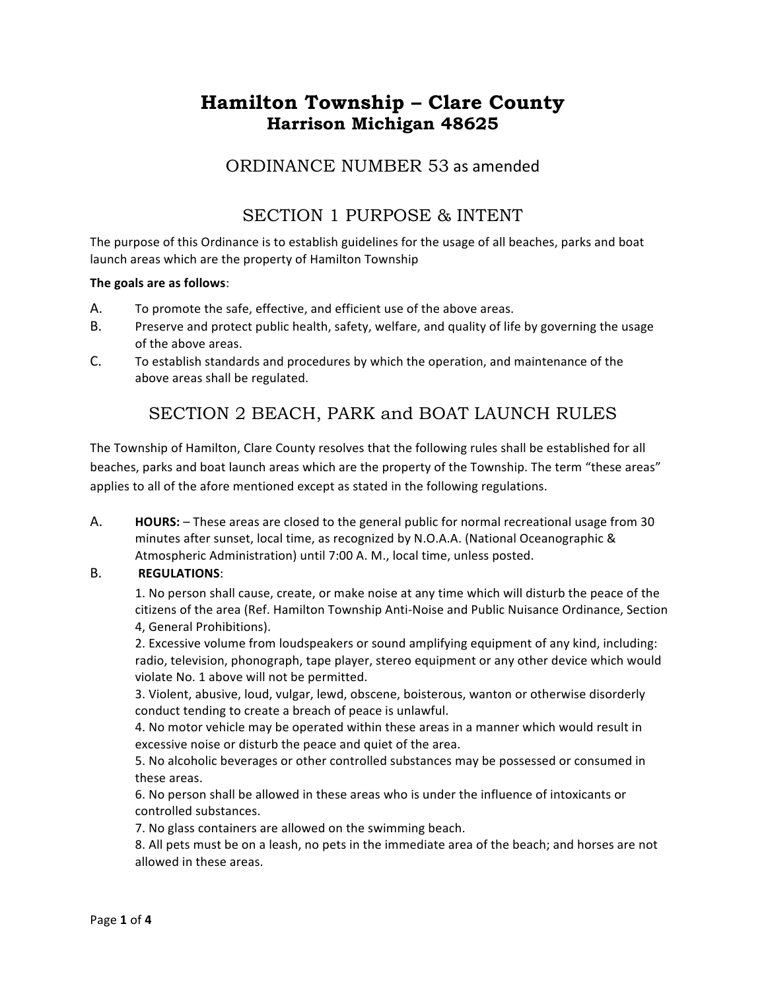# **Hamilton Township – Clare County Harrison Michigan 48625**

### ORDINANCE NUMBER 53 as amended

### SECTION 1 PURPOSE & INTENT

The purpose of this Ordinance is to establish guidelines for the usage of all beaches, parks and boat launch areas which are the property of Hamilton Township

#### The goals are as follows:

- A. To promote the safe, effective, and efficient use of the above areas.
- B. Preserve and protect public health, safety, welfare, and quality of life by governing the usage of the above areas.
- C. To establish standards and procedures by which the operation, and maintenance of the above areas shall be regulated.

## SECTION 2 BEACH, PARK and BOAT LAUNCH RULES

The Township of Hamilton, Clare County resolves that the following rules shall be established for all beaches, parks and boat launch areas which are the property of the Township. The term "these areas" applies to all of the afore mentioned except as stated in the following regulations.

A. **HOURS:** – These areas are closed to the general public for normal recreational usage from 30 minutes after sunset, local time, as recognized by N.O.A.A. (National Oceanographic & Atmospheric Administration) until 7:00 A. M., local time, unless posted.

#### B. **REGULATIONS**:

1. No person shall cause, create, or make noise at any time which will disturb the peace of the citizens of the area (Ref. Hamilton Township Anti-Noise and Public Nuisance Ordinance, Section 4, General Prohibitions).

2. Excessive volume from loudspeakers or sound amplifying equipment of any kind, including: radio, television, phonograph, tape player, stereo equipment or any other device which would violate No. 1 above will not be permitted.

3. Violent, abusive, loud, vulgar, lewd, obscene, boisterous, wanton or otherwise disorderly conduct tending to create a breach of peace is unlawful.

4. No motor vehicle may be operated within these areas in a manner which would result in excessive noise or disturb the peace and quiet of the area.

5. No alcoholic beverages or other controlled substances may be possessed or consumed in these areas.

6. No person shall be allowed in these areas who is under the influence of intoxicants or controlled substances.

7. No glass containers are allowed on the swimming beach.

8. All pets must be on a leash, no pets in the immediate area of the beach; and horses are not allowed in these areas.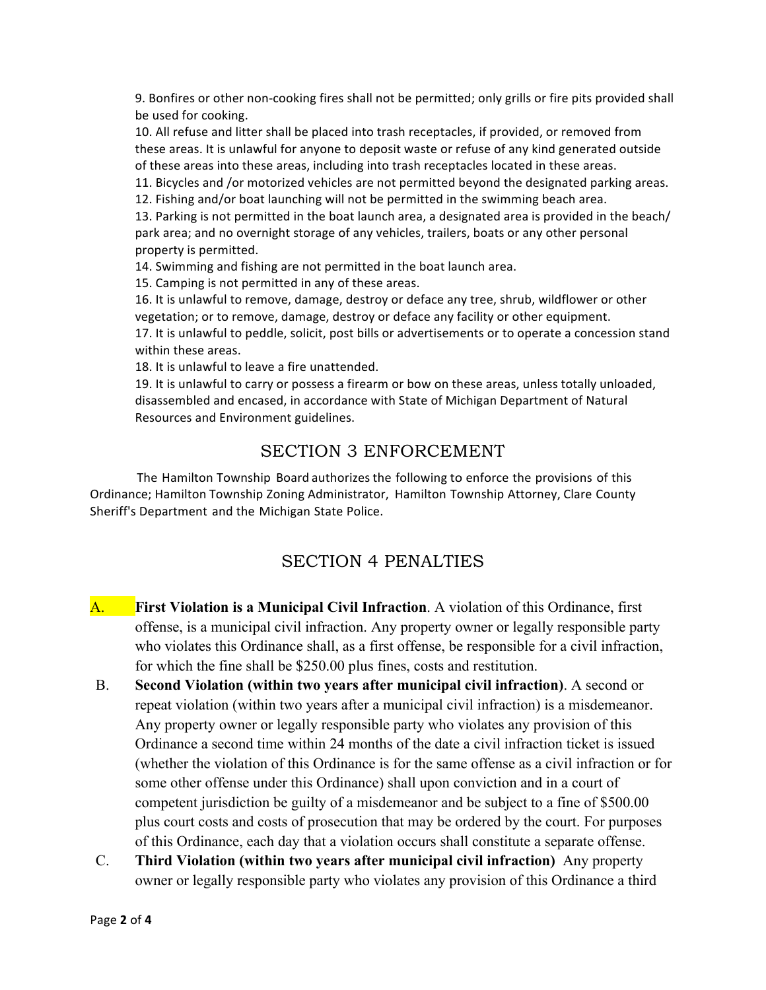9. Bonfires or other non-cooking fires shall not be permitted; only grills or fire pits provided shall be used for cooking.

10. All refuse and litter shall be placed into trash receptacles, if provided, or removed from these areas. It is unlawful for anyone to deposit waste or refuse of any kind generated outside of these areas into these areas, including into trash receptacles located in these areas.

11. Bicycles and /or motorized vehicles are not permitted beyond the designated parking areas.

12. Fishing and/or boat launching will not be permitted in the swimming beach area.

13. Parking is not permitted in the boat launch area, a designated area is provided in the beach/ park area; and no overnight storage of any vehicles, trailers, boats or any other personal property is permitted.

14. Swimming and fishing are not permitted in the boat launch area.

15. Camping is not permitted in any of these areas.

16. It is unlawful to remove, damage, destroy or deface any tree, shrub, wildflower or other vegetation; or to remove, damage, destroy or deface any facility or other equipment. 17. It is unlawful to peddle, solicit, post bills or advertisements or to operate a concession stand within these areas.

18. It is unlawful to leave a fire unattended.

19. It is unlawful to carry or possess a firearm or bow on these areas, unless totally unloaded, disassembled and encased, in accordance with State of Michigan Department of Natural Resources and Environment guidelines.

### SECTION 3 ENFORCEMENT

The Hamilton Township Board authorizes the following to enforce the provisions of this Ordinance; Hamilton Township Zoning Administrator, Hamilton Township Attorney, Clare County Sheriff's Department and the Michigan State Police.

### SECTION 4 PENALTIES

- A. **First Violation is a Municipal Civil Infraction**. A violation of this Ordinance, first offense, is a municipal civil infraction. Any property owner or legally responsible party who violates this Ordinance shall, as a first offense, be responsible for a civil infraction, for which the fine shall be \$250.00 plus fines, costs and restitution.
- B. **Second Violation (within two years after municipal civil infraction)**. A second or repeat violation (within two years after a municipal civil infraction) is a misdemeanor. Any property owner or legally responsible party who violates any provision of this Ordinance a second time within 24 months of the date a civil infraction ticket is issued (whether the violation of this Ordinance is for the same offense as a civil infraction or for some other offense under this Ordinance) shall upon conviction and in a court of competent jurisdiction be guilty of a misdemeanor and be subject to a fine of \$500.00 plus court costs and costs of prosecution that may be ordered by the court. For purposes of this Ordinance, each day that a violation occurs shall constitute a separate offense.
- C. **Third Violation (within two years after municipal civil infraction)** Any property owner or legally responsible party who violates any provision of this Ordinance a third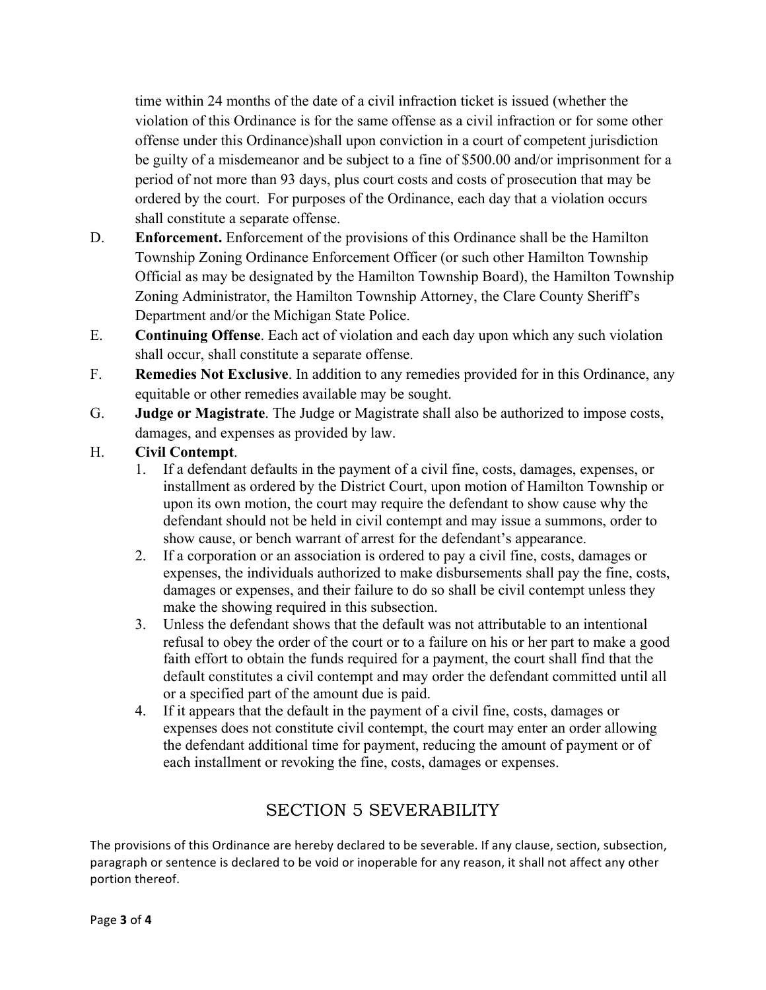time within 24 months of the date of a civil infraction ticket is issued (whether the violation of this Ordinance is for the same offense as a civil infraction or for some other offense under this Ordinance)shall upon conviction in a court of competent jurisdiction be guilty of a misdemeanor and be subject to a fine of \$500.00 and/or imprisonment for a period of not more than 93 days, plus court costs and costs of prosecution that may be ordered by the court. For purposes of the Ordinance, each day that a violation occurs shall constitute a separate offense.

- D. **Enforcement.** Enforcement of the provisions of this Ordinance shall be the Hamilton Township Zoning Ordinance Enforcement Officer (or such other Hamilton Township Official as may be designated by the Hamilton Township Board), the Hamilton Township Zoning Administrator, the Hamilton Township Attorney, the Clare County Sheriff's Department and/or the Michigan State Police.
- E. **Continuing Offense**. Each act of violation and each day upon which any such violation shall occur, shall constitute a separate offense.
- F. **Remedies Not Exclusive**. In addition to any remedies provided for in this Ordinance, any equitable or other remedies available may be sought.
- G. **Judge or Magistrate**. The Judge or Magistrate shall also be authorized to impose costs, damages, and expenses as provided by law.
- H. **Civil Contempt**.
	- 1. If a defendant defaults in the payment of a civil fine, costs, damages, expenses, or installment as ordered by the District Court, upon motion of Hamilton Township or upon its own motion, the court may require the defendant to show cause why the defendant should not be held in civil contempt and may issue a summons, order to show cause, or bench warrant of arrest for the defendant's appearance.
	- 2. If a corporation or an association is ordered to pay a civil fine, costs, damages or expenses, the individuals authorized to make disbursements shall pay the fine, costs, damages or expenses, and their failure to do so shall be civil contempt unless they make the showing required in this subsection.
	- 3. Unless the defendant shows that the default was not attributable to an intentional refusal to obey the order of the court or to a failure on his or her part to make a good faith effort to obtain the funds required for a payment, the court shall find that the default constitutes a civil contempt and may order the defendant committed until all or a specified part of the amount due is paid.
	- 4. If it appears that the default in the payment of a civil fine, costs, damages or expenses does not constitute civil contempt, the court may enter an order allowing the defendant additional time for payment, reducing the amount of payment or of each installment or revoking the fine, costs, damages or expenses.

# SECTION 5 SEVERABILITY

The provisions of this Ordinance are hereby declared to be severable. If any clause, section, subsection, paragraph or sentence is declared to be void or inoperable for any reason, it shall not affect any other portion thereof.